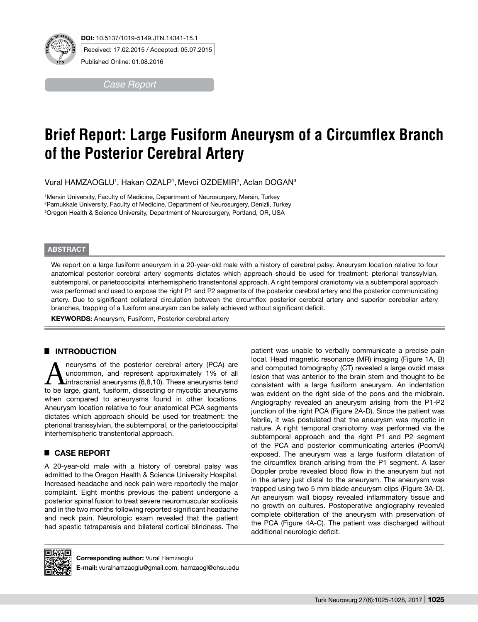

Received: 17.02.2015 / Accepted: 05.07.2015

Published Online: 01.08.2016

*Case Report* 

# **Brief Report: Large Fusiform Aneurysm of a Circumflex Branch of the Posterior Cerebral Artery**

Vural HAMZAOGLU', Hakan OZALP', Mevci OZDEMIR<sup>2</sup>, Aclan DOGAN<sup>3</sup>

1 Mersin University, Faculty of Medicine, Department of Neurosurgery, Mersin, Turkey 2 Pamukkale University, Faculty of Medicine, Department of Neurosurgery, Denizli, Turkey 3 Oregon Health & Science University, Department of Neurosurgery, Portland, OR, USA

#### **ABSTRACT**

We report on a large fusiform aneurysm in a 20-year-old male with a history of cerebral palsy. Aneurysm location relative to four anatomical posterior cerebral artery segments dictates which approach should be used for treatment: pterional transsylvian, subtemporal, or parietooccipital interhemispheric transtentorial approach. A right temporal craniotomy via a subtemporal approach was performed and used to expose the right P1 and P2 segments of the posterior cerebral artery and the posterior communicating artery. Due to significant collateral circulation between the circumflex posterior cerebral artery and superior cerebellar artery branches, trapping of a fusiform aneurysm can be safely achieved without significant deficit.

**KEYWORDS:** Aneurysm, Fusiform, Posterior cerebral artery

### █ **Introduction**

**ANEUR ANGLE 1999** Meurysms of the posterior cerebral artery (PCA) are uncommon, and represent approximately 1% of all intracranial aneurysms (6,8,10). These aneurysms tend to be large giant fusiform dissecting or mycotic uncommon, and represent approximately 1% of all to be large, giant, fusiform, dissecting or mycotic aneurysms when compared to aneurysms found in other locations. Aneurysm location relative to four anatomical PCA segments dictates which approach should be used for treatment: the pterional transsylvian, the subtemporal, or the parietooccipital interhemispheric transtentorial approach.

# █ **Case Report**

A 20-year-old male with a history of cerebral palsy was admitted to the Oregon Health & Science University Hospital. Increased headache and neck pain were reportedly the major complaint. Eight months previous the patient undergone a posterior spinal fusion to treat severe neuromuscular scoliosis and in the two months following reported significant headache and neck pain. Neurologic exam revealed that the patient had spastic tetraparesis and bilateral cortical blindness. The

patient was unable to verbally communicate a precise pain local. Head magnetic resonance (MR) imaging (Figure 1A, B) and computed tomography (CT) revealed a large ovoid mass lesion that was anterior to the brain stem and thought to be consistent with a large fusiform aneurysm. An indentation was evident on the right side of the pons and the midbrain. Angiography revealed an aneurysm arising from the P1-P2 junction of the right PCA (Figure 2A-D). Since the patient was febrile, it was postulated that the aneurysm was mycotic in nature. A right temporal craniotomy was performed via the subtemporal approach and the right P1 and P2 segment of the PCA and posterior communicating arteries (PcomA) exposed. The aneurysm was a large fusiform dilatation of the circumflex branch arising from the P1 segment. A laser Doppler probe revealed blood flow in the aneurysm but not in the artery just distal to the aneurysm. The aneurysm was trapped using two 5 mm blade aneurysm clips (Figure 3A-D). An aneurysm wall biopsy revealed inflammatory tissue and no growth on cultures. Postoperative angiography revealed complete obliteration of the aneurysm with preservation of the PCA (Figure 4A-C). The patient was discharged without additional neurologic deficit.



**Corresponding author:** Vural Hamzaoglu

**E-mail:** vuralhamzaoglu@gmail.com, hamzaogl@ohsu.edu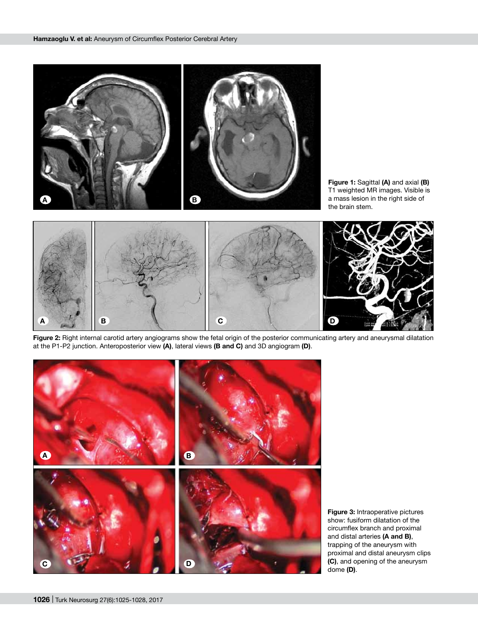

**Figure 1:** Sagittal **(A)** and axial **(B)** T1 weighted MR images. Visible is a mass lesion in the right side of the brain stem.



**Figure 2:** Right internal carotid artery angiograms show the fetal origin of the posterior communicating artery and aneurysmal dilatation at the P1-P2 junction. Anteroposterior view **(A)**, lateral views **(B and C)** and 3D angiogram **(D)**.



**Figure 3:** Intraoperative pictures show: fusiform dilatation of the circumflex branch and proximal and distal arteries **(A and B)**, trapping of the aneurysm with proximal and distal aneurysm clips **(C)**, and opening of the aneurysm dome **(D)**.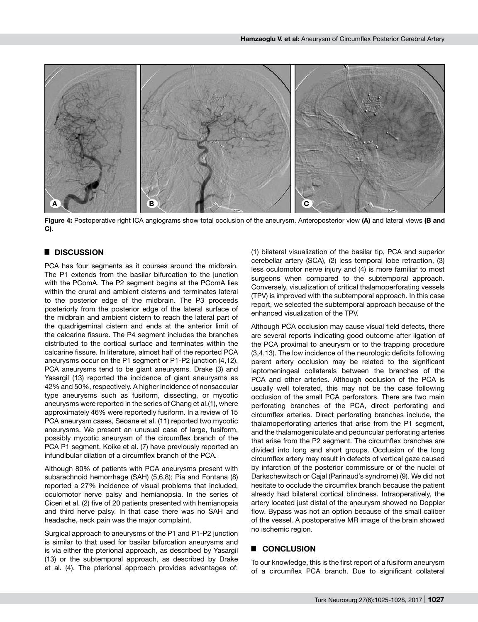

**Figure 4:** Postoperative right ICA angiograms show total occlusion of the aneurysm. Anteroposterior view **(A)** and lateral views **(B and C)**.

## █ **Discussion**

PCA has four segments as it courses around the midbrain. The P1 extends from the basilar bifurcation to the junction with the PComA. The P2 segment begins at the PComA lies within the crural and ambient cisterns and terminates lateral to the posterior edge of the midbrain. The P3 proceeds posteriorly from the posterior edge of the lateral surface of the midbrain and ambient cistern to reach the lateral part of the quadrigeminal cistern and ends at the anterior limit of the calcarine fissure. The P4 segment includes the branches distributed to the cortical surface and terminates within the calcarine fissure. In literature, almost half of the reported PCA aneurysms occur on the P1 segment or P1-P2 junction (4,12). PCA aneurysms tend to be giant aneurysms. Drake (3) and Yasargil (13) reported the incidence of giant aneurysms as 42% and 50%, respectively. A higher incidence of nonsaccular type aneurysms such as fusiform, dissecting, or mycotic aneurysms were reported in the series of Chang et al.(1), where approximately 46% were reportedly fusiform. In a review of 15 PCA aneurysm cases, Seoane et al. (11) reported two mycotic aneurysms. We present an unusual case of large, fusiform, possibly mycotic aneurysm of the circumflex branch of the PCA P1 segment. Koike et al. (7) have previously reported an infundibular dilation of a circumflex branch of the PCA.

Although 80% of patients with PCA aneurysms present with subarachnoid hemorrhage (SAH) (5,6,8); Pia and Fontana (8) reported a 27% incidence of visual problems that included, oculomotor nerve palsy and hemianopsia. In the series of Ciceri et al. (2) five of 20 patients presented with hemianopsia and third nerve palsy. In that case there was no SAH and headache, neck pain was the major complaint.

Surgical approach to aneurysms of the P1 and P1-P2 junction is similar to that used for basilar bifurcation aneurysms and is via either the pterional approach, as described by Yasargil (13) or the subtemporal approach, as described by Drake et al. (4). The pterional approach provides advantages of: (1) bilateral visualization of the basilar tip, PCA and superior cerebellar artery (SCA), (2) less temporal lobe retraction, (3) less oculomotor nerve injury and (4) is more familiar to most surgeons when compared to the subtemporal approach. Conversely, visualization of critical thalamoperforating vessels (TPV) is improved with the subtemporal approach. In this case report, we selected the subtemporal approach because of the enhanced visualization of the TPV.

Although PCA occlusion may cause visual field defects, there are several reports indicating good outcome after ligation of the PCA proximal to aneurysm or to the trapping procedure (3,4,13). The low incidence of the neurologic deficits following parent artery occlusion may be related to the significant leptomeningeal collaterals between the branches of the PCA and other arteries. Although occlusion of the PCA is usually well tolerated, this may not be the case following occlusion of the small PCA perforators. There are two main perforating branches of the PCA, direct perforating and circumflex arteries. Direct perforating branches include, the thalamoperforating arteries that arise from the P1 segment, and the thalamogeniculate and peduncular perforating arteries that arise from the P2 segment. The circumflex branches are divided into long and short groups. Occlusion of the long circumflex artery may result in defects of vertical gaze caused by infarction of the posterior commissure or of the nuclei of Darkschewitsch or Cajal (Parinaud's syndrome) (9). We did not hesitate to occlude the circumflex branch because the patient already had bilateral cortical blindness. Intraoperatively, the artery located just distal of the aneurysm showed no Doppler flow. Bypass was not an option because of the small caliber of the vessel. A postoperative MR image of the brain showed no ischemic region.

#### █ **Conclusion**

To our knowledge, this is the first report of a fusiform aneurysm of a circumflex PCA branch. Due to significant collateral